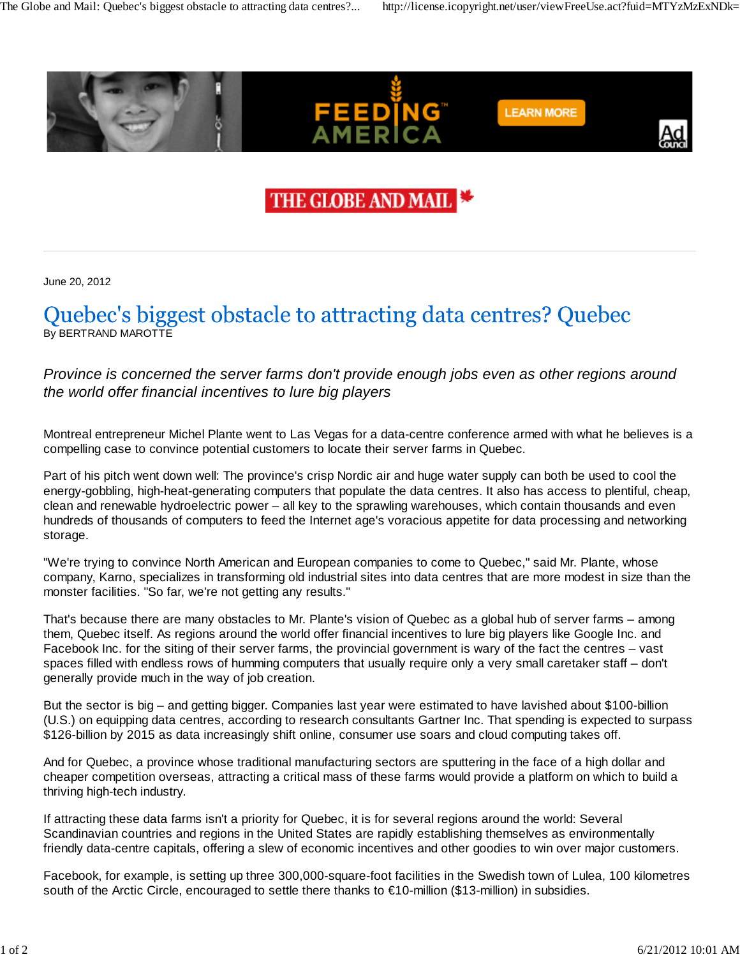

## THE GLOBE AND MAII

June 20, 2012

## Quebec's biggest obstacle to attracting data centres? Quebec By BERTRAND MAROTTE

## *Province is concerned the server farms don't provide enough jobs even as other regions around the world offer financial incentives to lure big players*

Montreal entrepreneur Michel Plante went to Las Vegas for a data-centre conference armed with what he believes is a compelling case to convince potential customers to locate their server farms in Quebec.

Part of his pitch went down well: The province's crisp Nordic air and huge water supply can both be used to cool the energy-gobbling, high-heat-generating computers that populate the data centres. It also has access to plentiful, cheap, clean and renewable hydroelectric power – all key to the sprawling warehouses, which contain thousands and even hundreds of thousands of computers to feed the Internet age's voracious appetite for data processing and networking storage.

"We're trying to convince North American and European companies to come to Quebec," said Mr. Plante, whose company, Karno, specializes in transforming old industrial sites into data centres that are more modest in size than the monster facilities. "So far, we're not getting any results."

That's because there are many obstacles to Mr. Plante's vision of Quebec as a global hub of server farms – among them, Quebec itself. As regions around the world offer financial incentives to lure big players like Google Inc. and Facebook Inc. for the siting of their server farms, the provincial government is wary of the fact the centres – vast spaces filled with endless rows of humming computers that usually require only a very small caretaker staff – don't generally provide much in the way of job creation.

But the sector is big – and getting bigger. Companies last year were estimated to have lavished about \$100-billion (U.S.) on equipping data centres, according to research consultants Gartner Inc. That spending is expected to surpass \$126-billion by 2015 as data increasingly shift online, consumer use soars and cloud computing takes off.

And for Quebec, a province whose traditional manufacturing sectors are sputtering in the face of a high dollar and cheaper competition overseas, attracting a critical mass of these farms would provide a platform on which to build a thriving high-tech industry.

If attracting these data farms isn't a priority for Quebec, it is for several regions around the world: Several Scandinavian countries and regions in the United States are rapidly establishing themselves as environmentally friendly data-centre capitals, offering a slew of economic incentives and other goodies to win over major customers.

Facebook, for example, is setting up three 300,000-square-foot facilities in the Swedish town of Lulea, 100 kilometres south of the Arctic Circle, encouraged to settle there thanks to €10-million (\$13-million) in subsidies.